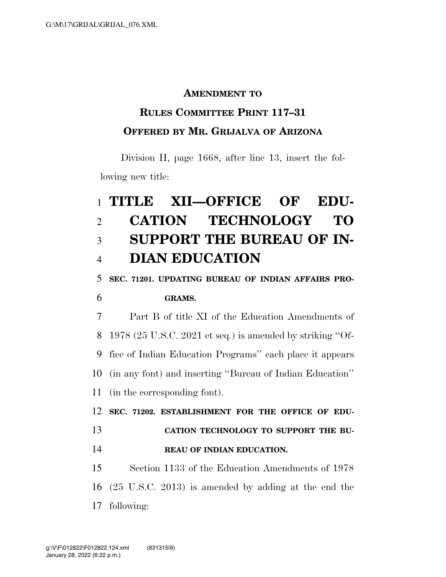#### **AMENDMENT TO**

## **RULES COMMITTEE PRINT 117–31 OFFERED BY MR. GRIJALVA OF ARIZONA**

Division H, page 1668, after line 13, insert the following new title:

# **TITLE XII—OFFICE OF EDU- CATION TECHNOLOGY TO SUPPORT THE BUREAU OF IN-DIAN EDUCATION**

**SEC. 71201. UPDATING BUREAU OF INDIAN AFFAIRS PRO-**

### **GRAMS.**

 Part B of title XI of the Education Amendments of 1978 (25 U.S.C. 2021 et seq.) is amended by striking ''Of- fice of Indian Education Programs'' each place it appears (in any font) and inserting ''Bureau of Indian Education'' (in the corresponding font).

 **SEC. 71202. ESTABLISHMENT FOR THE OFFICE OF EDU- CATION TECHNOLOGY TO SUPPORT THE BU-REAU OF INDIAN EDUCATION.** 

 Section 1133 of the Education Amendments of 1978 (25 U.S.C. 2013) is amended by adding at the end the following: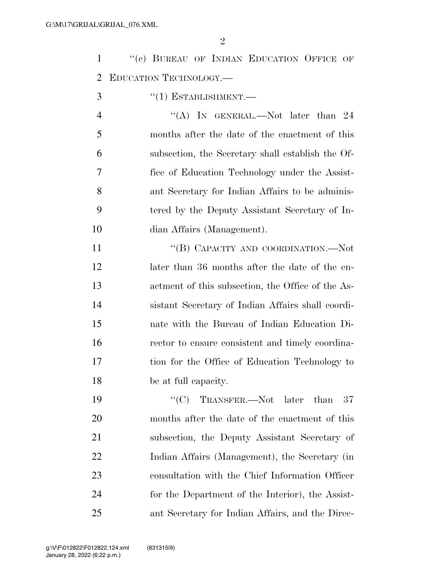$\mathfrak{D}$ 

1 "(c) BUREAU OF INDIAN EDUCATION OFFICE OF EDUCATION TECHNOLOGY.—

3  $\frac{1}{2}$   $\frac{1}{2}$  ESTABLISHMENT.

4 "(A) IN GENERAL.—Not later than 24 months after the date of the enactment of this subsection, the Secretary shall establish the Of- fice of Education Technology under the Assist- ant Secretary for Indian Affairs to be adminis- tered by the Deputy Assistant Secretary of In-dian Affairs (Management).

11 "(B) CAPACITY AND COORDINATION.—Not 12 later than 36 months after the date of the en- actment of this subsection, the Office of the As- sistant Secretary of Indian Affairs shall coordi- nate with the Bureau of Indian Education Di- rector to ensure consistent and timely coordina- tion for the Office of Education Technology to be at full capacity.

19 "'(C) TRANSFER.—Not later than 37 months after the date of the enactment of this subsection, the Deputy Assistant Secretary of Indian Affairs (Management), the Secretary (in consultation with the Chief Information Officer for the Department of the Interior), the Assist-ant Secretary for Indian Affairs, and the Direc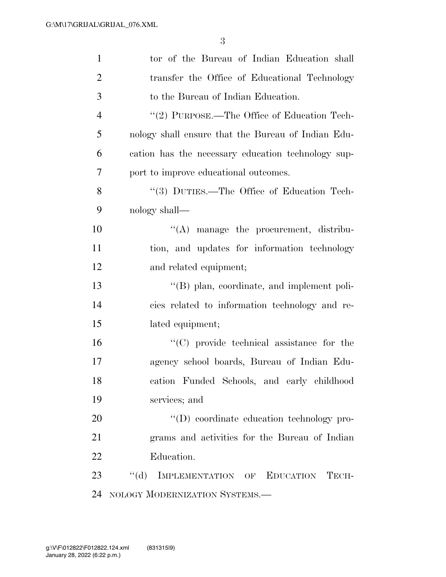| $\mathbf{1}$   | tor of the Bureau of Indian Education shall          |
|----------------|------------------------------------------------------|
| $\overline{2}$ | transfer the Office of Educational Technology        |
| 3              | to the Bureau of Indian Education.                   |
| $\overline{4}$ | "(2) PURPOSE.—The Office of Education Tech-          |
| 5              | nology shall ensure that the Bureau of Indian Edu-   |
| 6              | cation has the necessary education technology sup-   |
| 7              | port to improve educational outcomes.                |
| 8              | "(3) DUTIES.—The Office of Education Tech-           |
| 9              | nology shall—                                        |
| 10             | $\lq\lq$ manage the procurement, distribu-           |
| 11             | tion, and updates for information technology         |
| 12             | and related equipment;                               |
| 13             | $\lq\lq$ (B) plan, coordinate, and implement poli-   |
| 14             | cies related to information technology and re-       |
| 15             | lated equipment;                                     |
| 16             | "(C) provide technical assistance for the            |
| 17             | agency school boards, Bureau of Indian Edu-          |
| 18             | cation Funded Schools, and early childhood           |
| 19             | services; and                                        |
| 20             | "(D) coordinate education technology pro-            |
| 21             | grams and activities for the Bureau of Indian        |
| 22             | Education.                                           |
| 23             | $\lq\lq (d)$<br>IMPLEMENTATION OF EDUCATION<br>TECH- |
| 24             | NOLOGY MODERNIZATION SYSTEMS.-                       |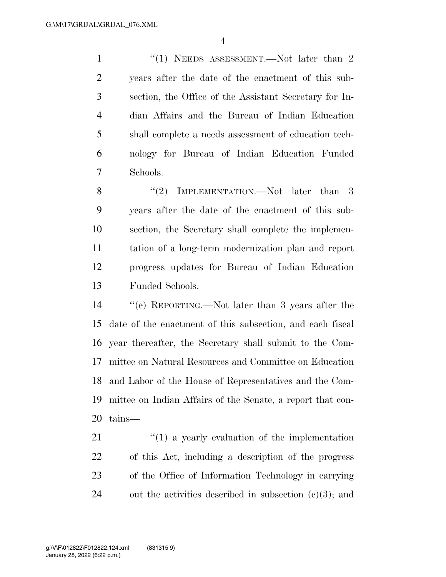1 ''(1) NEEDS ASSESSMENT.—Not later than 2 years after the date of the enactment of this sub- section, the Office of the Assistant Secretary for In- dian Affairs and the Bureau of Indian Education shall complete a needs assessment of education tech- nology for Bureau of Indian Education Funded Schools.

8 "(2) IMPLEMENTATION.—Not later than 3 years after the date of the enactment of this sub- section, the Secretary shall complete the implemen- tation of a long-term modernization plan and report progress updates for Bureau of Indian Education Funded Schools.

 ''(e) REPORTING.—Not later than 3 years after the date of the enactment of this subsection, and each fiscal year thereafter, the Secretary shall submit to the Com- mittee on Natural Resources and Committee on Education and Labor of the House of Representatives and the Com- mittee on Indian Affairs of the Senate, a report that con-tains—

 ''(1) a yearly evaluation of the implementation of this Act, including a description of the progress of the Office of Information Technology in carrying 24 out the activities described in subsection  $(e)(3)$ ; and